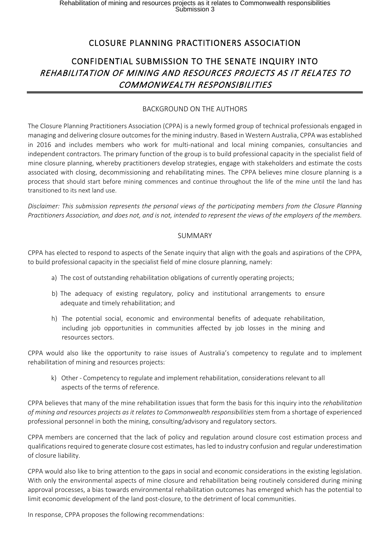## CLOSURE PLANNING PRACTITIONERS ASSOCIATION

## CONFIDENTIAL SUBMISSION TO THE SENATE INQUIRY INTO REHABILITATION OF MINING AND RESOURCES PROJECTS AS IT RELATES TO COMMONWEALTH RESPONSIBILITIES

#### BACKGROUND ON THE AUTHORS

The Closure Planning Practitioners Association (CPPA) is a newly formed group of technical professionals engaged in managing and delivering closure outcomes for the mining industry. Based in Western Australia, CPPA was established in 2016 and includes members who work for multi-national and local mining companies, consultancies and independent contractors. The primary function of the group is to build professional capacity in the specialist field of mine closure planning, whereby practitioners develop strategies, engage with stakeholders and estimate the costs associated with closing, decommissioning and rehabilitating mines. The CPPA believes mine closure planning is a process that should start before mining commences and continue throughout the life of the mine until the land has transitioned to its next land use.

*Disclaimer: This submission represents the personal views of the participating members from the Closure Planning Practitioners Association, and does not, and is not, intended to represent the views of the employers of the members.*

#### SUMMARY

CPPA has elected to respond to aspects of the Senate inquiry that align with the goals and aspirations of the CPPA, to build professional capacity in the specialist field of mine closure planning, namely:

- a) The cost of outstanding rehabilitation obligations of currently operating projects;
- b) The adequacy of existing regulatory, policy and institutional arrangements to ensure adequate and timely rehabilitation; and
- h) The potential social, economic and environmental benefits of adequate rehabilitation, including job opportunities in communities affected by job losses in the mining and resources sectors.

CPPA would also like the opportunity to raise issues of Australia's competency to regulate and to implement rehabilitation of mining and resources projects:

k) Other - Competency to regulate and implement rehabilitation, considerations relevant to all aspects of the terms of reference.

CPPA believes that many of the mine rehabilitation issues that form the basis for this inquiry into the *rehabilitation of mining and resources projects as it relates to Commonwealth responsibilities* stem from a shortage of experienced professional personnel in both the mining, consulting/advisory and regulatory sectors.

CPPA members are concerned that the lack of policy and regulation around closure cost estimation process and qualifications required to generate closure cost estimates, has led to industry confusion and regular underestimation of closure liability.

CPPA would also like to bring attention to the gaps in social and economic considerations in the existing legislation. With only the environmental aspects of mine closure and rehabilitation being routinely considered during mining approval processes, a bias towards environmental rehabilitation outcomes has emerged which has the potential to limit economic development of the land post-closure, to the detriment of local communities.

In response, CPPA proposes the following recommendations: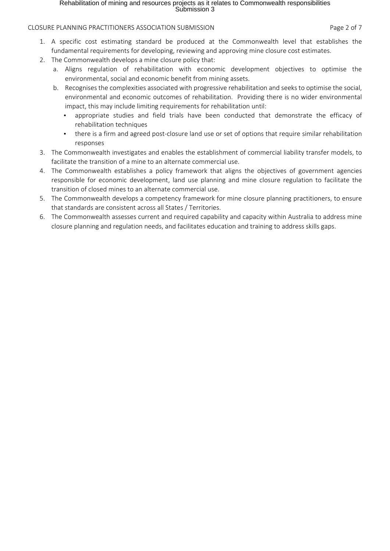#### CLOSURE PLANNING PRACTITIONERS ASSOCIATION SUBMISSION Page 2 of 7

- 1. A specific cost estimating standard be produced at the Commonwealth level that establishes the fundamental requirements for developing, reviewing and approving mine closure cost estimates.
- 2. The Commonwealth develops a mine closure policy that:
	- a. Aligns regulation of rehabilitation with economic development objectives to optimise the environmental, social and economic benefit from mining assets.
	- b. Recognises the complexities associated with progressive rehabilitation and seeks to optimise the social, environmental and economic outcomes of rehabilitation. Providing there is no wider environmental impact, this may include limiting requirements for rehabilitation until:
		- appropriate studies and field trials have been conducted that demonstrate the efficacy of rehabilitation techniques
		- there is a firm and agreed post-closure land use or set of options that require similar rehabilitation responses
- 3. The Commonwealth investigates and enables the establishment of commercial liability transfer models, to facilitate the transition of a mine to an alternate commercial use.
- 4. The Commonwealth establishes a policy framework that aligns the objectives of government agencies responsible for economic development, land use planning and mine closure regulation to facilitate the transition of closed mines to an alternate commercial use.
- 5. The Commonwealth develops a competency framework for mine closure planning practitioners, to ensure that standards are consistent across all States / Territories.
- 6. The Commonwealth assesses current and required capability and capacity within Australia to address mine closure planning and regulation needs, and facilitates education and training to address skills gaps.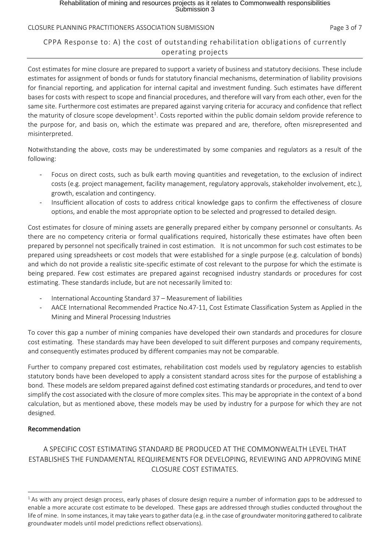#### CLOSURE PLANNING PRACTITIONERS ASSOCIATION SUBMISSION Page 3 of 7

### CPPA Response to: A) the cost of outstanding rehabilitation obligations of currently operating projects

Cost estimates for mine closure are prepared to support a variety of business and statutory decisions. These include estimates for assignment of bonds or funds for statutory financial mechanisms, determination of liability provisions for financial reporting, and application for internal capital and investment funding. Such estimates have different bases for costs with respect to scope and financial procedures, and therefore will vary from each other, even for the same site. Furthermore cost estimates are prepared against varying criteria for accuracy and confidence that reflect the maturity of closure scope development<sup>[1](#page-2-0)</sup>. Costs reported within the public domain seldom provide reference to the purpose for, and basis on, which the estimate was prepared and are, therefore, often misrepresented and misinterpreted.

Notwithstanding the above, costs may be underestimated by some companies and regulators as a result of the following:

- Focus on direct costs, such as bulk earth moving quantities and revegetation, to the exclusion of indirect costs (e.g. project management, facility management, regulatory approvals, stakeholder involvement, etc.), growth, escalation and contingency.
- Insufficient allocation of costs to address critical knowledge gaps to confirm the effectiveness of closure options, and enable the most appropriate option to be selected and progressed to detailed design.

Cost estimates for closure of mining assets are generally prepared either by company personnel or consultants. As there are no competency criteria or formal qualifications required, historically these estimates have often been prepared by personnel not specifically trained in cost estimation. It is not uncommon for such cost estimates to be prepared using spreadsheets or cost models that were established for a single purpose (e.g. calculation of bonds) and which do not provide a realistic site-specific estimate of cost relevant to the purpose for which the estimate is being prepared. Few cost estimates are prepared against recognised industry standards or procedures for cost estimating. These standards include, but are not necessarily limited to:

- International Accounting Standard 37 Measurement of liabilities
- AACE International Recommended Practice No.47-11, Cost Estimate Classification System as Applied in the Mining and Mineral Processing Industries

To cover this gap a number of mining companies have developed their own standards and procedures for closure cost estimating. These standards may have been developed to suit different purposes and company requirements, and consequently estimates produced by different companies may not be comparable.

Further to company prepared cost estimates, rehabilitation cost models used by regulatory agencies to establish statutory bonds have been developed to apply a consistent standard across sites for the purpose of establishing a bond. These models are seldom prepared against defined cost estimating standards or procedures, and tend to over simplify the cost associated with the closure of more complex sites. This may be appropriate in the context of a bond calculation, but as mentioned above, these models may be used by industry for a purpose for which they are not designed.

### Recommendation

A SPECIFIC COST ESTIMATING STANDARD BE PRODUCED AT THE COMMONWEALTH LEVEL THAT ESTABLISHES THE FUNDAMENTAL REQUIREMENTS FOR DEVELOPING, REVIEWING AND APPROVING MINE CLOSURE COST ESTIMATES.

<span id="page-2-0"></span> $1$  As with any project design process, early phases of closure design require a number of information gaps to be addressed to enable a more accurate cost estimate to be developed. These gaps are addressed through studies conducted throughout the life of mine. In some instances, it may take years to gather data (e.g. in the case of groundwater monitoring gathered to calibrate groundwater models until model predictions reflect observations).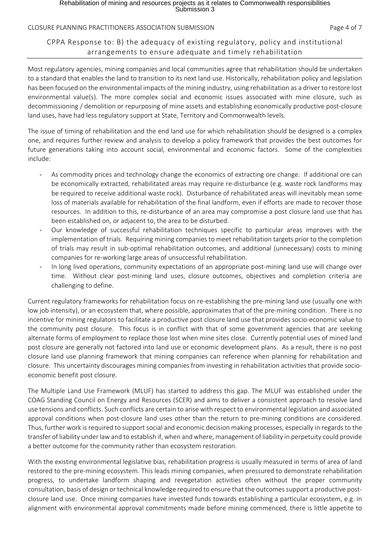#### CLOSURE PLANNING PRACTITIONERS ASSOCIATION SUBMISSION Page 4 of 7

### CPPA Response to: B) the adequacy of existing regulatory, policy and institutional arrangements to ensure adequate and timely rehabilitation

Most regulatory agencies, mining companies and local communities agree that rehabilitation should be undertaken to a standard that enables the land to transition to its next land use. Historically, rehabilitation policy and legislation has been focused on the environmental impacts of the mining industry, using rehabilitation as a driver to restore lost environmental value(s). The more complex social and economic issues associated with mine closure, such as decommissioning / demolition or repurposing of mine assets and establishing economically productive post-closure land uses, have had less regulatory support at State, Territory and Commonwealth levels.

The issue of timing of rehabilitation and the end land use for which rehabilitation should be designed is a complex one, and requires further review and analysis to develop a policy framework that provides the best outcomes for future generations taking into account social, environmental and economic factors. Some of the complexities include:

- As commodity prices and technology change the economics of extracting ore change. If additional ore can be economically extracted, rehabilitated areas may require re-disturbance (e.g. waste rock landforms may be required to receive additional waste rock). Disturbance of rehabilitated areas will inevitably mean some loss of materials available for rehabilitation of the final landform, even if efforts are made to recover those resources. In addition to this, re-disturbance of an area may compromise a post closure land use that has been established on, or adjacent to, the area to be disturbed.
- Our knowledge of successful rehabilitation techniques specific to particular areas improves with the implementation of trials. Requiring mining companies to meet rehabilitation targets prior to the completion of trials may result in sub-optimal rehabilitation outcomes, and additional (unnecessary) costs to mining companies for re-working large areas of unsuccessful rehabilitation.
- In long lived operations, community expectations of an appropriate post-mining land use will change over time. Without clear post-mining land uses, closure outcomes, objectives and completion criteria are challenging to define.

Current regulatory frameworks for rehabilitation focus on re-establishing the pre-mining land use (usually one with low job intensity), or an ecosystem that, where possible, approximates that of the pre-mining condition. There is no incentive for mining regulators to facilitate a productive post closure land use that provides socio-economic value to the community post closure. This focus is in conflict with that of some government agencies that are seeking alternate forms of employment to replace those lost when mine sites close. Currently potential uses of mined land post closure are generally not factored into land use or economic development plans. As a result, there is no post closure land use planning framework that mining companies can reference when planning for rehabilitation and closure. This uncertainty discourages mining companies from investing in rehabilitation activities that provide socioeconomic benefit post closure.

The Multiple Land Use Framework (MLUF) has started to address this gap. The MLUF was established under the COAG Standing Council on Energy and Resources (SCER) and aims to deliver a consistent approach to resolve land use tensions and conflicts. Such conflicts are certain to arise with respect to environmental legislation and associated approval conditions when post-closure land uses other than the return to pre-mining conditions are considered. Thus, further work is required to support social and economic decision making processes, especially in regards to the transfer of liability under law and to establish if, when and where, management of liability in perpetuity could provide a better outcome for the community rather than ecosystem restoration.

With the existing environmental legislative bias, rehabilitation progress is usually measured in terms of area of land restored to the pre-mining ecosystem. This leads mining companies, when pressured to demonstrate rehabilitation progress, to undertake landform shaping and revegetation activities often without the proper community consultation, basis of design or technical knowledge required to ensure that the outcomes support a productive postclosure land use. Once mining companies have invested funds towards establishing a particular ecosystem, e.g. in alignment with environmental approval commitments made before mining commenced, there is little appetite to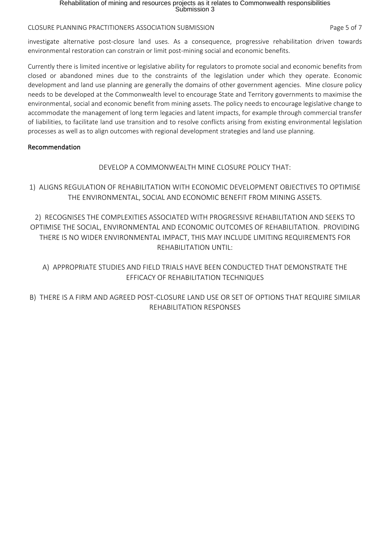#### CLOSURE PLANNING PRACTITIONERS ASSOCIATION SUBMISSION Page 5 of 7

investigate alternative post-closure land uses. As a consequence, progressive rehabilitation driven towards environmental restoration can constrain or limit post-mining social and economic benefits.

Currently there is limited incentive or legislative ability for regulators to promote social and economic benefits from closed or abandoned mines due to the constraints of the legislation under which they operate. Economic development and land use planning are generally the domains of other government agencies. Mine closure policy needs to be developed at the Commonwealth level to encourage State and Territory governments to maximise the environmental, social and economic benefit from mining assets. The policy needs to encourage legislative change to accommodate the management of long term legacies and latent impacts, for example through commercial transfer of liabilities, to facilitate land use transition and to resolve conflicts arising from existing environmental legislation processes as well as to align outcomes with regional development strategies and land use planning.

#### Recommendation

#### DEVELOP A COMMONWEALTH MINE CLOSURE POLICY THAT:

1) ALIGNS REGULATION OF REHABILITATION WITH ECONOMIC DEVELOPMENT OBJECTIVES TO OPTIMISE THE ENVIRONMENTAL, SOCIAL AND ECONOMIC BENEFIT FROM MINING ASSETS.

2) RECOGNISES THE COMPLEXITIES ASSOCIATED WITH PROGRESSIVE REHABILITATION AND SEEKS TO OPTIMISE THE SOCIAL, ENVIRONMENTAL AND ECONOMIC OUTCOMES OF REHABILITATION. PROVIDING THERE IS NO WIDER ENVIRONMENTAL IMPACT, THIS MAY INCLUDE LIMITING REQUIREMENTS FOR REHABILITATION UNTIL:

### A) APPROPRIATE STUDIES AND FIELD TRIALS HAVE BEEN CONDUCTED THAT DEMONSTRATE THE EFFICACY OF REHABILITATION TECHNIQUES

B) THERE IS A FIRM AND AGREED POST-CLOSURE LAND USE OR SET OF OPTIONS THAT REQUIRE SIMILAR REHABILITATION RESPONSES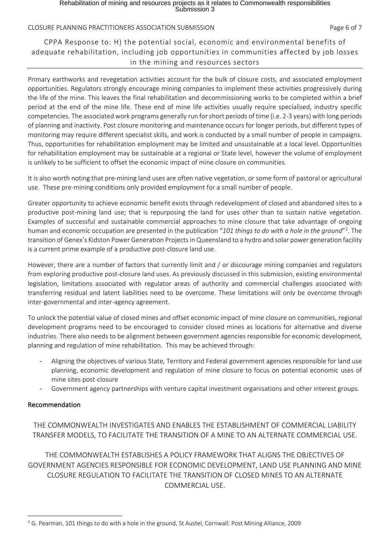#### CLOSURE PLANNING PRACTITIONERS ASSOCIATION SUBMISSION Page 6 of 7

### CPPA Response to: H) the potential social, economic and environmental benefits of adequate rehabilitation, including job opportunities in communities affected by job losses in the mining and resources sectors

Primary earthworks and revegetation activities account for the bulk of closure costs, and associated employment opportunities. Regulators strongly encourage mining companies to implement these activities progressively during the life of the mine. This leaves the final rehabilitation and decommissioning works to be completed within a brief period at the end of the mine life. These end of mine life activities usually require specialised, industry specific competencies. The associated work programs generally run for short periods of time (i.e. 2-3 years) with long periods of planning and inactivity. Post closure monitoring and maintenance occurs for longer periods, but different types of monitoring may require different specialist skills, and work is conducted by a small number of people in campaigns. Thus, opportunities for rehabilitation employment may be limited and unsustainable at a local level. Opportunities for rehabilitation employment may be sustainable at a regional or State level, however the volume of employment is unlikely to be sufficient to offset the economic impact of mine closure on communities.

It is also worth noting that pre-mining land uses are often native vegetation, or some form of pastoral or agricultural use. These pre-mining conditions only provided employment for a small number of people.

Greater opportunity to achieve economic benefit exists through redevelopment of closed and abandoned sites to a productive post-mining land use; that is repurposing the land for uses other than to sustain native vegetation. Examples of successful and sustainable commercial approaches to mine closure that take advantage of ongoing human and economic occupation are presented in the publication "*101 things to do with a hole in the ground*"[2](#page-5-0) . The transition of Genex's Kidston Power Generation Projects in Queensland to a hydro and solar power generation facility is a current prime example of a productive post-closure land use.

However, there are a number of factors that currently limit and / or discourage mining companies and regulators from exploring productive post-closure land uses. As previously discussed in this submission, existing environmental legislation, limitations associated with regulator areas of authority and commercial challenges associated with transferring residual and latent liabilities need to be overcome. These limitations will only be overcome through inter-governmental and inter-agency agreement.

To unlock the potential value of closed mines and offset economic impact of mine closure on communities, regional development programs need to be encouraged to consider closed mines as locations for alternative and diverse industries. There also needs to be alignment between government agencies responsible for economic development, planning and regulation of mine rehabilitation. This may be achieved through:

- Aligning the objectives of various State, Territory and Federal government agencies responsible for land use planning, economic development and regulation of mine closure to focus on potential economic uses of mine sites post-closure
- Government agency partnerships with venture capital investment organisations and other interest groups.

#### Recommendation

THE COMMONWEALTH INVESTIGATES AND ENABLES THE ESTABLISHMENT OF COMMERCIAL LIABILITY TRANSFER MODELS, TO FACILITATE THE TRANSITION OF A MINE TO AN ALTERNATE COMMERCIAL USE.

THE COMMONWEALTH ESTABLISHES A POLICY FRAMEWORK THAT ALIGNS THE OBJECTIVES OF GOVERNMENT AGENCIES RESPONSIBLE FOR ECONOMIC DEVELOPMENT, LAND USE PLANNING AND MINE CLOSURE REGULATION TO FACILITATE THE TRANSITION OF CLOSED MINES TO AN ALTERNATE COMMERCIAL USE.

<span id="page-5-0"></span> $2$  G. Pearman, 101 things to do with a hole in the ground, St Austel, Cornwall: Post Mining Alliance, 2009